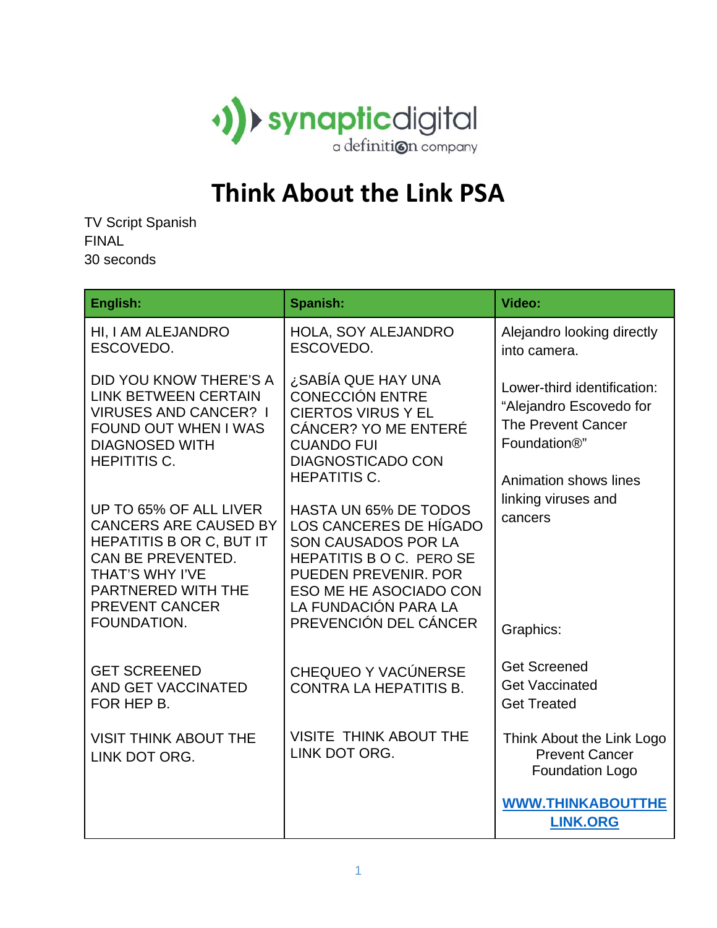

## **Think About the Link PSA**

TV Script Spanish FINAL 30 seconds

| English:                                                                                                                                                                                               | Spanish:                                                                                                                                                                                                                   | Video:                                                                                                                                                                                   |
|--------------------------------------------------------------------------------------------------------------------------------------------------------------------------------------------------------|----------------------------------------------------------------------------------------------------------------------------------------------------------------------------------------------------------------------------|------------------------------------------------------------------------------------------------------------------------------------------------------------------------------------------|
| HI, I AM ALEJANDRO<br>ESCOVEDO.                                                                                                                                                                        | HOLA, SOY ALEJANDRO<br>ESCOVEDO.                                                                                                                                                                                           | Alejandro looking directly<br>into camera.                                                                                                                                               |
| DID YOU KNOW THERE'S A<br><b>LINK BETWEEN CERTAIN</b><br><b>VIRUSES AND CANCER? I</b><br><b>FOUND OUT WHEN I WAS</b><br><b>DIAGNOSED WITH</b><br><b>HEPITITIS C.</b>                                   | SABÍA QUE HAY UNA ن<br><b>CONECCIÓN ENTRE</b><br><b>CIERTOS VIRUS Y EL</b><br><b>CÁNCER? YO ME ENTERÉ</b><br><b>CUANDO FUI</b><br><b>DIAGNOSTICADO CON</b><br><b>HEPATITIS C.</b>                                          | Lower-third identification:<br>"Alejandro Escovedo for<br><b>The Prevent Cancer</b><br>Foundation <sup>®</sup> "<br>Animation shows lines<br>linking viruses and<br>cancers<br>Graphics: |
| UP TO 65% OF ALL LIVER<br><b>CANCERS ARE CAUSED BY</b><br><b>HEPATITIS B OR C, BUT IT</b><br>CAN BE PREVENTED.<br>THAT'S WHY I'VE<br><b>PARTNERED WITH THE</b><br><b>PREVENT CANCER</b><br>FOUNDATION. | <b>HASTA UN 65% DE TODOS</b><br>LOS CANCERES DE HÍGADO<br>SON CAUSADOS POR LA<br>HEPATITIS B O C. PERO SE<br><b>PUEDEN PREVENIR, POR</b><br><b>ESO ME HE ASOCIADO CON</b><br>LA FUNDACIÓN PARA LA<br>PREVENCIÓN DEL CÁNCER |                                                                                                                                                                                          |
| <b>GET SCREENED</b><br><b>AND GET VACCINATED</b><br>FOR HEP B.                                                                                                                                         | CHEQUEO Y VACÚNERSE<br><b>CONTRA LA HEPATITIS B.</b>                                                                                                                                                                       | <b>Get Screened</b><br><b>Get Vaccinated</b><br><b>Get Treated</b>                                                                                                                       |
| <b>VISIT THINK ABOUT THE</b><br>LINK DOT ORG.                                                                                                                                                          | <b>VISITE THINK ABOUT THE</b><br>LINK DOT ORG.                                                                                                                                                                             | Think About the Link Logo<br><b>Prevent Cancer</b><br><b>Foundation Logo</b>                                                                                                             |
|                                                                                                                                                                                                        |                                                                                                                                                                                                                            | <b>WWW.THINKABOUTTHE</b><br><b>LINK.ORG</b>                                                                                                                                              |